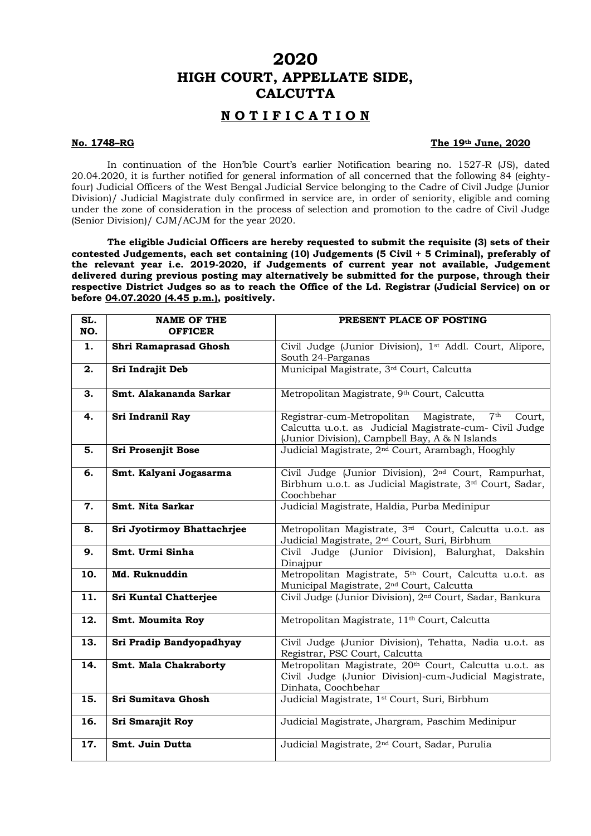## **2020 HIGH COURT, APPELLATE SIDE, CALCUTTA**

## **N O T I F I C A T I O N**

## **No. 1748–RG The 19th June, 2020**

In continuation of the Hon'ble Court's earlier Notification bearing no. 1527-R (JS), dated 20.04.2020, it is further notified for general information of all concerned that the following 84 (eightyfour) Judicial Officers of the West Bengal Judicial Service belonging to the Cadre of Civil Judge (Junior Division)/ Judicial Magistrate duly confirmed in service are, in order of seniority, eligible and coming under the zone of consideration in the process of selection and promotion to the cadre of Civil Judge (Senior Division)/ CJM/ACJM for the year 2020.

**The eligible Judicial Officers are hereby requested to submit the requisite (3) sets of their contested Judgements, each set containing (10) Judgements (5 Civil + 5 Criminal), preferably of the relevant year i.e. 2019-2020, if Judgements of current year not available, Judgement delivered during previous posting may alternatively be submitted for the purpose, through their respective District Judges so as to reach the Office of the Ld. Registrar (Judicial Service) on or before 04.07.2020 (4.45 p.m.), positively.** 

| SL.<br>NO. | <b>NAME OF THE</b><br><b>OFFICER</b> | PRESENT PLACE OF POSTING                                                                                                                                          |
|------------|--------------------------------------|-------------------------------------------------------------------------------------------------------------------------------------------------------------------|
| 1.         | Shri Ramaprasad Ghosh                | Civil Judge (Junior Division), 1st Addl. Court, Alipore,<br>South 24-Parganas                                                                                     |
| 2.         | Sri Indrajit Deb                     | Municipal Magistrate, 3 <sup>rd</sup> Court, Calcutta                                                                                                             |
| 3.         | Smt. Alakananda Sarkar               | Metropolitan Magistrate, 9th Court, Calcutta                                                                                                                      |
| 4.         | Sri Indranil Ray                     | Registrar-cum-Metropolitan Magistrate, 7th<br>Court,<br>Calcutta u.o.t. as Judicial Magistrate-cum- Civil Judge<br>(Junior Division), Campbell Bay, A & N Islands |
| 5.         | Sri Prosenjit Bose                   | Judicial Magistrate, 2 <sup>nd</sup> Court, Arambagh, Hooghly                                                                                                     |
| 6.         | Smt. Kalyani Jogasarma               | Civil Judge (Junior Division), 2 <sup>nd</sup> Court, Rampurhat,<br>Birbhum u.o.t. as Judicial Magistrate, 3rd Court, Sadar,<br>Coochbehar                        |
| 7.         | Smt. Nita Sarkar                     | Judicial Magistrate, Haldia, Purba Medinipur                                                                                                                      |
| 8.         | Sri Jyotirmoy Bhattachrjee           | Metropolitan Magistrate, 3rd Court, Calcutta u.o.t. as<br>Judicial Magistrate, 2 <sup>nd</sup> Court, Suri, Birbhum                                               |
| 9.         | Smt. Urmi Sinha                      | Civil Judge (Junior Division), Balurghat, Dakshin<br>Dinajpur                                                                                                     |
| 10.        | Md. Ruknuddin                        | Metropolitan Magistrate, 5 <sup>th</sup> Court, Calcutta u.o.t. as<br>Municipal Magistrate, 2 <sup>nd</sup> Court, Calcutta                                       |
| 11.        | <b>Sri Kuntal Chatterjee</b>         | Civil Judge (Junior Division), 2 <sup>nd</sup> Court, Sadar, Bankura                                                                                              |
| 12.        | Smt. Moumita Roy                     | Metropolitan Magistrate, 11 <sup>th</sup> Court, Calcutta                                                                                                         |
| 13.        | Sri Pradip Bandyopadhyay             | Civil Judge (Junior Division), Tehatta, Nadia u.o.t. as<br>Registrar, PSC Court, Calcutta                                                                         |
| 14.        | Smt. Mala Chakraborty                | Metropolitan Magistrate, 20 <sup>th</sup> Court, Calcutta u.o.t. as<br>Civil Judge (Junior Division)-cum-Judicial Magistrate,<br>Dinhata, Coochbehar              |
| 15.        | Sri Sumitava Ghosh                   | Judicial Magistrate, 1 <sup>st</sup> Court, Suri, Birbhum                                                                                                         |
| 16.        | Sri Smarajit Roy                     | Judicial Magistrate, Jhargram, Paschim Medinipur                                                                                                                  |
| 17.        | Smt. Juin Dutta                      | Judicial Magistrate, 2 <sup>nd</sup> Court, Sadar, Purulia                                                                                                        |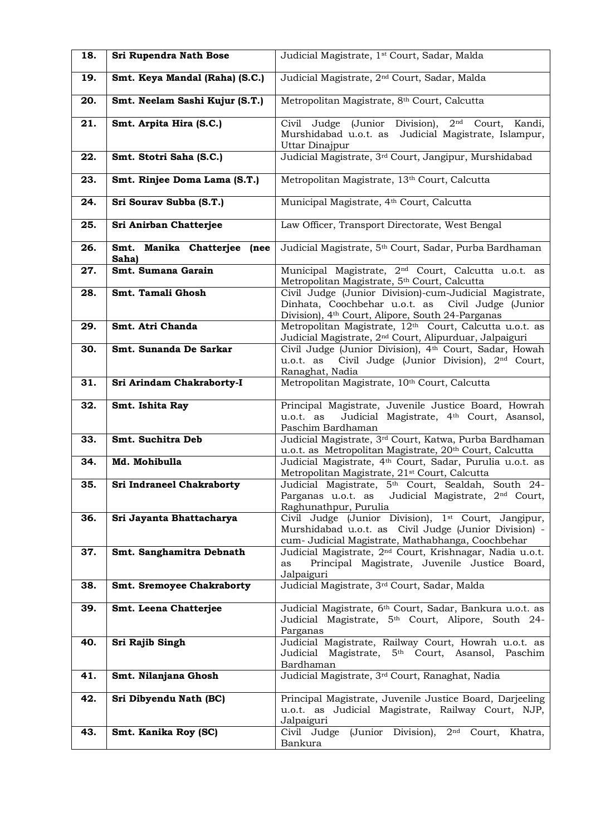| 18. | Sri Rupendra Nath Bose               | Judicial Magistrate, 1 <sup>st</sup> Court, Sadar, Malda                                                                                                                     |
|-----|--------------------------------------|------------------------------------------------------------------------------------------------------------------------------------------------------------------------------|
| 19. | Smt. Keya Mandal (Raha) (S.C.)       | Judicial Magistrate, 2 <sup>nd</sup> Court, Sadar, Malda                                                                                                                     |
| 20. | Smt. Neelam Sashi Kujur (S.T.)       | Metropolitan Magistrate, 8th Court, Calcutta                                                                                                                                 |
| 21. | Smt. Arpita Hira (S.C.)              | (Junior Division),<br>2 <sup>nd</sup><br>Civil Judge<br>Court,<br>Kandi,<br>Murshidabad u.o.t. as<br>Judicial Magistrate, Islampur,<br>Uttar Dinajpur                        |
| 22. | Smt. Stotri Saha (S.C.)              | Judicial Magistrate, 3rd Court, Jangipur, Murshidabad                                                                                                                        |
| 23. | Smt. Rinjee Doma Lama (S.T.)         | Metropolitan Magistrate, 13th Court, Calcutta                                                                                                                                |
| 24. | Sri Sourav Subba (S.T.)              | Municipal Magistrate, 4th Court, Calcutta                                                                                                                                    |
| 25. | Sri Anirban Chatterjee               | Law Officer, Transport Directorate, West Bengal                                                                                                                              |
| 26. | Smt. Manika Chatterjee (nee<br>Saha) | Judicial Magistrate, 5 <sup>th</sup> Court, Sadar, Purba Bardhaman                                                                                                           |
| 27. | Smt. Sumana Garain                   | Municipal Magistrate, 2 <sup>nd</sup> Court, Calcutta u.o.t. as<br>Metropolitan Magistrate, 5 <sup>th</sup> Court, Calcutta                                                  |
| 28. | Smt. Tamali Ghosh                    | Civil Judge (Junior Division)-cum-Judicial Magistrate,<br>Dinhata, Coochbehar u.o.t. as  Civil Judge (Junior<br>Division), 4 <sup>th</sup> Court, Alipore, South 24-Parganas |
| 29. | Smt. Atri Chanda                     | Metropolitan Magistrate, 12th Court, Calcutta u.o.t. as<br>Judicial Magistrate, 2 <sup>nd</sup> Court, Alipurduar, Jalpaiguri                                                |
| 30. | Smt. Sunanda De Sarkar               | Civil Judge (Junior Division), 4th Court, Sadar, Howah<br>Civil Judge (Junior Division), 2 <sup>nd</sup> Court,<br>u.o.t. as<br>Ranaghat, Nadia                              |
| 31. | Sri Arindam Chakraborty-I            | Metropolitan Magistrate, 10th Court, Calcutta                                                                                                                                |
| 32. | Smt. Ishita Ray                      | Principal Magistrate, Juvenile Justice Board, Howrah<br>Judicial Magistrate, 4 <sup>th</sup> Court, Asansol,<br>u.o.t. as<br>Paschim Bardhaman                               |
| 33. | Smt. Suchitra Deb                    | Judicial Magistrate, 3rd Court, Katwa, Purba Bardhaman<br>u.o.t. as Metropolitan Magistrate, 20 <sup>th</sup> Court, Calcutta                                                |
| 34. | Md. Mohibulla                        | Judicial Magistrate, 4 <sup>th</sup> Court, Sadar, Purulia u.o.t. as<br>Metropolitan Magistrate, 21 <sup>st</sup> Court, Calcutta                                            |
| 35. | <b>Sri Indraneel Chakraborty</b>     | Judicial Magistrate, 5th Court, Sealdah, South 24-<br>Parganas u.o.t. as<br>Judicial Magistrate, 2 <sup>nd</sup> Court,<br>Raghunathpur, Purulia                             |
| 36. | Sri Jayanta Bhattacharya             | Civil Judge (Junior Division), 1st Court, Jangipur,<br>Murshidabad u.o.t. as Civil Judge (Junior Division) -<br>cum- Judicial Magistrate, Mathabhanga, Coochbehar            |
| 37. | Smt. Sanghamitra Debnath             | Judicial Magistrate, 2 <sup>nd</sup> Court, Krishnagar, Nadia u.o.t.<br>Principal Magistrate, Juvenile Justice Board,<br>as<br>Jalpaiguri                                    |
| 38. | <b>Smt. Sremoyee Chakraborty</b>     | Judicial Magistrate, 3rd Court, Sadar, Malda                                                                                                                                 |
| 39. | Smt. Leena Chatterjee                | Judicial Magistrate, 6th Court, Sadar, Bankura u.o.t. as<br>Judicial Magistrate, 5 <sup>th</sup> Court, Alipore, South 24-<br>Parganas                                       |
| 40. | Sri Rajib Singh                      | Judicial Magistrate, Railway Court, Howrah u.o.t. as<br>Judicial Magistrate, 5 <sup>th</sup> Court, Asansol, Paschim<br>Bardhaman                                            |
| 41. | Smt. Nilanjana Ghosh                 | Judicial Magistrate, 3 <sup>rd</sup> Court, Ranaghat, Nadia                                                                                                                  |
| 42. | Sri Dibyendu Nath (BC)               | Principal Magistrate, Juvenile Justice Board, Darjeeling<br>u.o.t. as Judicial Magistrate, Railway Court, NJP,<br>Jalpaiguri                                                 |
| 43. | Smt. Kanika Roy (SC)                 | (Junior Division), 2 <sup>nd</sup> Court,<br>Civil Judge<br>Khatra,                                                                                                          |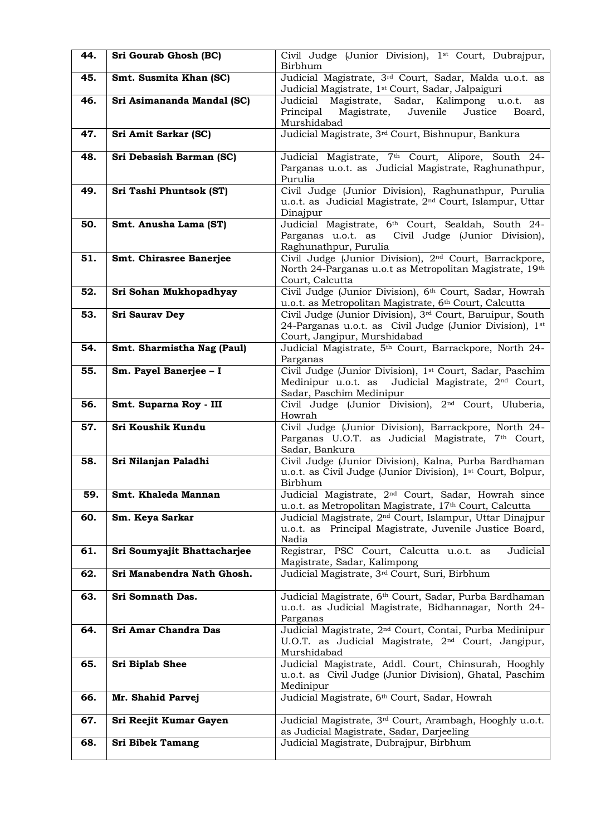| 44. | Sri Gourab Ghosh (BC)          | Civil Judge (Junior Division), 1 <sup>st</sup> Court, Dubrajpur,<br>Birbhum                                                                                       |
|-----|--------------------------------|-------------------------------------------------------------------------------------------------------------------------------------------------------------------|
| 45. | Smt. Susmita Khan (SC)         | Judicial Magistrate, 3rd Court, Sadar, Malda u.o.t. as<br>Judicial Magistrate, 1st Court, Sadar, Jalpaiguri                                                       |
| 46. | Sri Asimananda Mandal (SC)     | Magistrate, Sadar, Kalimpong<br>Judicial<br>u.o.t.<br>as<br>Juvenile<br>Justice<br>Principal<br>Magistrate,<br>Board,<br>Murshidabad                              |
| 47. | Sri Amit Sarkar (SC)           | Judicial Magistrate, 3rd Court, Bishnupur, Bankura                                                                                                                |
| 48. | Sri Debasish Barman (SC)       | Judicial Magistrate, 7th Court, Alipore, South 24-<br>Parganas u.o.t. as Judicial Magistrate, Raghunathpur,<br>Purulia                                            |
| 49. | Sri Tashi Phuntsok (ST)        | Civil Judge (Junior Division), Raghunathpur, Purulia<br>u.o.t. as Judicial Magistrate, 2 <sup>nd</sup> Court, Islampur, Uttar<br>Dinajpur                         |
| 50. | Smt. Anusha Lama (ST)          | Judicial Magistrate, 6th Court, Sealdah, South 24-<br>Parganas u.o.t. as<br>Civil Judge (Junior Division),<br>Raghunathpur, Purulia                               |
| 51. | <b>Smt. Chirasree Banerjee</b> | Civil Judge (Junior Division), 2 <sup>nd</sup> Court, Barrackpore,<br>North 24-Parganas u.o.t as Metropolitan Magistrate, 19th<br>Court, Calcutta                 |
| 52. | Sri Sohan Mukhopadhyay         | Civil Judge (Junior Division), 6 <sup>th</sup> Court, Sadar, Howrah<br>u.o.t. as Metropolitan Magistrate, 6th Court, Calcutta                                     |
| 53. | <b>Sri Saurav Dey</b>          | Civil Judge (Junior Division), 3 <sup>rd</sup> Court, Baruipur, South<br>24-Parganas u.o.t. as Civil Judge (Junior Division), 1st<br>Court, Jangipur, Murshidabad |
| 54. | Smt. Sharmistha Nag (Paul)     | Judicial Magistrate, 5 <sup>th</sup> Court, Barrackpore, North 24-<br>Parganas                                                                                    |
| 55. | Sm. Payel Banerjee - I         | Civil Judge (Junior Division), 1st Court, Sadar, Paschim<br>Medinipur u.o.t. as<br>Judicial Magistrate, 2 <sup>nd</sup> Court,<br>Sadar, Paschim Medinipur        |
| 56. | Smt. Suparna Roy - III         | Civil Judge (Junior Division), 2 <sup>nd</sup> Court, Uluberia,<br>Howrah                                                                                         |
| 57. | Sri Koushik Kundu              | Civil Judge (Junior Division), Barrackpore, North 24-<br>Parganas U.O.T. as Judicial Magistrate, 7 <sup>th</sup> Court,<br>Sadar, Bankura                         |
| 58. | Sri Nilanjan Paladhi           | Civil Judge (Junior Division), Kalna, Purba Bardhaman<br>u.o.t. as Civil Judge (Junior Division), 1 <sup>st</sup> Court, Bolpur,<br>Birbhum                       |
| 59. | Smt. Khaleda Mannan            | Judicial Magistrate, 2 <sup>nd</sup> Court, Sadar, Howrah since<br>u.o.t. as Metropolitan Magistrate, 17 <sup>th</sup> Court, Calcutta                            |
| 60. | Sm. Keya Sarkar                | Judicial Magistrate, 2 <sup>nd</sup> Court, Islampur, Uttar Dinajpur<br>u.o.t. as Principal Magistrate, Juvenile Justice Board,<br>Nadia                          |
| 61. | Sri Soumyajit Bhattacharjee    | Registrar, PSC Court, Calcutta u.o.t. as<br>Judicial<br>Magistrate, Sadar, Kalimpong                                                                              |
| 62. | Sri Manabendra Nath Ghosh.     | Judicial Magistrate, 3rd Court, Suri, Birbhum                                                                                                                     |
| 63. | Sri Somnath Das.               | Judicial Magistrate, 6th Court, Sadar, Purba Bardhaman<br>u.o.t. as Judicial Magistrate, Bidhannagar, North 24-<br>Parganas                                       |
| 64. | Sri Amar Chandra Das           | Judicial Magistrate, 2 <sup>nd</sup> Court, Contai, Purba Medinipur<br>U.O.T. as Judicial Magistrate, 2 <sup>nd</sup> Court, Jangipur,<br>Murshidabad             |
| 65. | Sri Biplab Shee                | Judicial Magistrate, Addl. Court, Chinsurah, Hooghly<br>u.o.t. as Civil Judge (Junior Division), Ghatal, Paschim<br>Medinipur                                     |
| 66. | Mr. Shahid Parvej              | Judicial Magistrate, 6th Court, Sadar, Howrah                                                                                                                     |
| 67. | Sri Reejit Kumar Gayen         | Judicial Magistrate, 3 <sup>rd</sup> Court, Arambagh, Hooghly u.o.t.<br>as Judicial Magistrate, Sadar, Darjeeling                                                 |
| 68. | <b>Sri Bibek Tamang</b>        | Judicial Magistrate, Dubrajpur, Birbhum                                                                                                                           |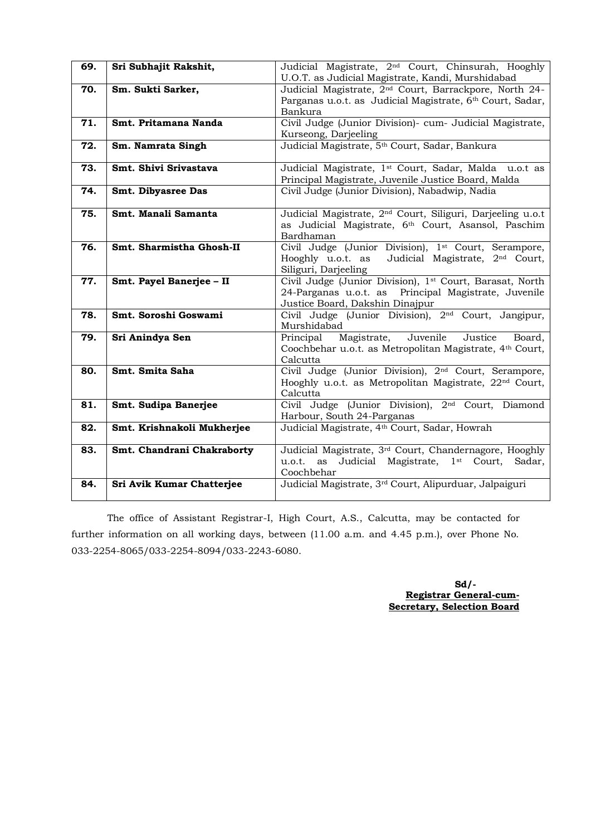| 69. | Sri Subhajit Rakshit,      | Judicial Magistrate, 2 <sup>nd</sup> Court, Chinsurah, Hooghly         |
|-----|----------------------------|------------------------------------------------------------------------|
|     |                            | U.O.T. as Judicial Magistrate, Kandi, Murshidabad                      |
| 70. | Sm. Sukti Sarker,          | Judicial Magistrate, 2 <sup>nd</sup> Court, Barrackpore, North 24-     |
|     |                            | Parganas u.o.t. as Judicial Magistrate, 6th Court, Sadar,              |
|     |                            | Bankura                                                                |
| 71. | Smt. Pritamana Nanda       | Civil Judge (Junior Division) - cum- Judicial Magistrate,              |
|     |                            | Kurseong, Darjeeling                                                   |
| 72. | Sm. Namrata Singh          | Judicial Magistrate, 5 <sup>th</sup> Court, Sadar, Bankura             |
|     |                            |                                                                        |
| 73. | Smt. Shivi Srivastava      | Judicial Magistrate, 1st Court, Sadar, Malda u.o.t as                  |
|     |                            | Principal Magistrate, Juvenile Justice Board, Malda                    |
| 74. | Smt. Dibyasree Das         | Civil Judge (Junior Division), Nabadwip, Nadia                         |
|     |                            |                                                                        |
|     | Smt. Manali Samanta        |                                                                        |
| 75. |                            | Judicial Magistrate, 2 <sup>nd</sup> Court, Siliguri, Darjeeling u.o.t |
|     |                            | as Judicial Magistrate, 6th Court, Asansol, Paschim                    |
|     |                            | Bardhaman                                                              |
| 76. | Smt. Sharmistha Ghosh-II   | Civil Judge (Junior Division), 1 <sup>st</sup> Court, Serampore,       |
|     |                            | Judicial Magistrate, 2 <sup>nd</sup> Court,<br>Hooghly u.o.t. as       |
|     |                            | Siliguri, Darjeeling                                                   |
| 77. | Smt. Payel Banerjee - II   | Civil Judge (Junior Division), 1 <sup>st</sup> Court, Barasat, North   |
|     |                            | 24-Parganas u.o.t. as Principal Magistrate, Juvenile                   |
|     |                            | Justice Board, Dakshin Dinajpur                                        |
| 78. | Smt. Soroshi Goswami       | Civil Judge (Junior Division), 2 <sup>nd</sup> Court, Jangipur,        |
|     |                            | Murshidabad                                                            |
| 79. | Sri Anindya Sen            | Juvenile<br>Principal<br>Magistrate,<br>Justice<br>Board,              |
|     |                            | Coochbehar u.o.t. as Metropolitan Magistrate, 4th Court,               |
|     |                            | Calcutta                                                               |
| 80. | Smt. Smita Saha            | Civil Judge (Junior Division), 2 <sup>nd</sup> Court, Serampore,       |
|     |                            | Hooghly u.o.t. as Metropolitan Magistrate, 22 <sup>nd</sup> Court,     |
|     |                            | Calcutta                                                               |
| 81. | Smt. Sudipa Banerjee       | Civil Judge Uunior Division), 2 <sup>nd</sup> Court, Diamond           |
|     |                            | Harbour, South 24-Parganas                                             |
| 82. | Smt. Krishnakoli Mukherjee | Judicial Magistrate, 4th Court, Sadar, Howrah                          |
|     |                            |                                                                        |
| 83. | Smt. Chandrani Chakraborty | Judicial Magistrate, 3rd Court, Chandernagore, Hooghly                 |
|     |                            | u.o.t.<br>Judicial Magistrate, 1 <sup>st</sup> Court,<br>as<br>Sadar,  |
|     |                            | Coochbehar                                                             |
| 84. | Sri Avik Kumar Chatterjee  | Judicial Magistrate, 3rd Court, Alipurduar, Jalpaiguri                 |
|     |                            |                                                                        |

The office of Assistant Registrar-I, High Court, A.S., Calcutta, may be contacted for further information on all working days, between (11.00 a.m. and 4.45 p.m.), over Phone No. 033-2254-8065/033-2254-8094/033-2243-6080.

> **Sd/- Registrar General-cum- Secretary, Selection Board**